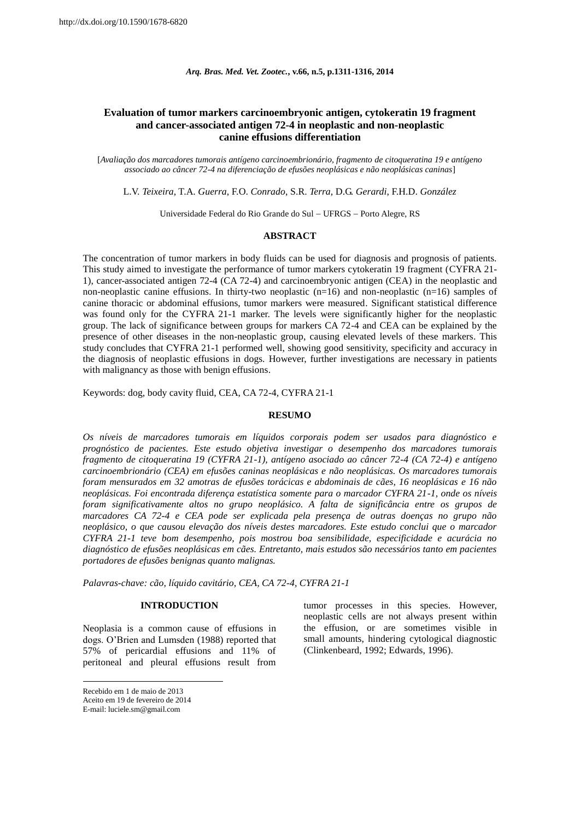*Arq. Bras. Med. Vet. Zootec.***, v.66, n.5, p.1311-1316, 2014**

# **Evaluation of tumor markers carcinoembryonic antigen, cytokeratin 19 fragment and cancer-associated antigen 72-4 in neoplastic and non-neoplastic canine effusions differentiation**

[*Avaliação dos marcadores tumorais antígeno carcinoembrionário, fragmento de citoqueratina 19 e antígeno associado ao câncer 72-4 na diferenciação de efusões neoplásicas e não neoplásicas caninas*]

L.V. *Teixeira*, T.A. *Guerra*, F.O. *Conrado*, S.R. *Terra*, D.G. *Gerardi*, F.H.D. *González*

Universidade Federal do Rio Grande do Sul - UFRGS - Porto Alegre, RS

#### **ABSTRACT**

The concentration of tumor markers in body fluids can be used for diagnosis and prognosis of patients. This study aimed to investigate the performance of tumor markers cytokeratin 19 fragment (CYFRA 21- 1), cancer-associated antigen 72-4 (CA 72-4) and carcinoembryonic antigen (CEA) in the neoplastic and non-neoplastic canine effusions. In thirty-two neoplastic (n=16) and non-neoplastic (n=16) samples of canine thoracic or abdominal effusions, tumor markers were measured. Significant statistical difference was found only for the CYFRA 21-1 marker. The levels were significantly higher for the neoplastic group. The lack of significance between groups for markers CA 72-4 and CEA can be explained by the presence of other diseases in the non-neoplastic group, causing elevated levels of these markers. This study concludes that CYFRA 21-1 performed well, showing good sensitivity, specificity and accuracy in the diagnosis of neoplastic effusions in dogs. However, further investigations are necessary in patients with malignancy as those with benign effusions.

Keywords: dog, body cavity fluid, CEA, CA 72-4, CYFRA 21-1

#### **RESUMO**

*Os níveis de marcadores tumorais em líquidos corporais podem ser usados para diagnóstico e prognóstico de pacientes. Este estudo objetiva investigar o desempenho dos marcadores tumorais fragmento de citoqueratina 19 (CYFRA 21-1), antígeno asociado ao câncer 72-4 (CA 72-4) e antígeno carcinoembrionário (CEA) em efusões caninas neoplásicas e não neoplásicas. Os marcadores tumorais foram mensurados em 32 amotras de efusões torácicas e abdominais de cães, 16 neoplásicas e 16 não neoplásicas. Foi encontrada diferença estatística somente para o marcador CYFRA 21-1, onde os níveis foram significativamente altos no grupo neoplásico. A falta de significância entre os grupos de marcadores CA 72-4 e CEA pode ser explicada pela presença de outras doenças no grupo não neoplásico, o que causou elevação dos níveis destes marcadores. Este estudo conclui que o marcador CYFRA 21-1 teve bom desempenho, pois mostrou boa sensibilidade, especificidade e acurácia no diagnóstico de efusões neoplásicas em cães. Entretanto, mais estudos são necessários tanto em pacientes portadores de efusões benignas quanto malignas.*

*Palavras-chave: cão, líquido cavitário, CEA, CA 72-4, CYFRA 21-1*

## **INTRODUCTION**

Neoplasia is a common cause of effusions in dogs. O'Brien and Lumsden (1988) reported that 57% of pericardial effusions and 11% of peritoneal and pleural effusions result from

1

tumor processes in this species. However, neoplastic cells are not always present within the effusion, or are sometimes visible in small amounts, hindering cytological diagnostic (Clinkenbeard, 1992; Edwards, 1996).

Recebido em 1 de maio de 2013 Aceito em 19 de fevereiro de 2014

E-mail: luciele.sm@gmail.com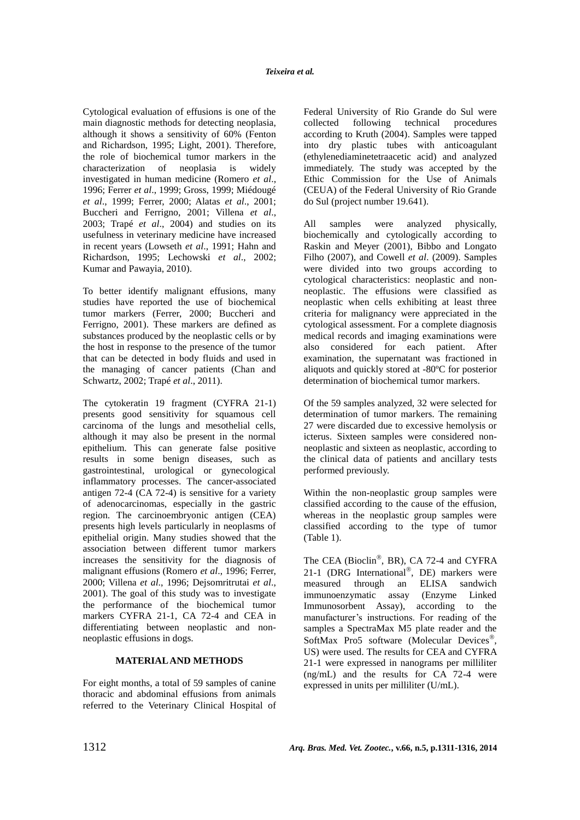Cytological evaluation of effusions is one of the main diagnostic methods for detecting neoplasia, although it shows a sensitivity of 60% (Fenton and Richardson, 1995; Light, 2001). Therefore, the role of biochemical tumor markers in the characterization of neoplasia is widely investigated in human medicine (Romero *et al*., 1996; Ferrer *et al*., 1999; Gross, 1999; Miédougé *et al*., 1999; Ferrer, 2000; Alatas *et al*., 2001; Buccheri and Ferrigno, 2001; Villena *et al*., 2003; Trapé *et al*., 2004) and studies on its usefulness in veterinary medicine have increased in recent years (Lowseth *et al*., 1991; Hahn and Richardson, 1995; Lechowski *et al*., 2002; Kumar and Pawayia, 2010).

To better identify malignant effusions, many studies have reported the use of biochemical tumor markers (Ferrer, 2000; Buccheri and Ferrigno, 2001). These markers are defined as substances produced by the neoplastic cells or by the host in response to the presence of the tumor that can be detected in body fluids and used in the managing of cancer patients (Chan and Schwartz, 2002; Trapé *et al*., 2011).

The cytokeratin 19 fragment (CYFRA 21-1) presents good sensitivity for squamous cell carcinoma of the lungs and mesothelial cells, although it may also be present in the normal epithelium. This can generate false positive results in some benign diseases, such as gastrointestinal, urological or gynecological inflammatory processes. The cancer-associated antigen 72-4 (CA 72-4) is sensitive for a variety of adenocarcinomas, especially in the gastric region. The carcinoembryonic antigen (CEA) presents high levels particularly in neoplasms of epithelial origin. Many studies showed that the association between different tumor markers increases the sensitivity for the diagnosis of malignant effusions (Romero *et al*., 1996; Ferrer, 2000; Villena *et al*., 1996; Dejsomritrutai *et al*., 2001). The goal of this study was to investigate the performance of the biochemical tumor markers CYFRA 21-1, CA 72-4 and CEA in differentiating between neoplastic and nonneoplastic effusions in dogs.

### **MATERIAL AND METHODS**

For eight months, a total of 59 samples of canine thoracic and abdominal effusions from animals referred to the Veterinary Clinical Hospital of Federal University of Rio Grande do Sul were collected following technical procedures according to Kruth (2004). Samples were tapped into dry plastic tubes with anticoagulant (ethylenediaminetetraacetic acid) and analyzed immediately. The study was accepted by the Ethic Commission for the Use of Animals (CEUA) of the Federal University of Rio Grande do Sul (project number 19.641).

All samples were analyzed physically, biochemically and cytologically according to Raskin and Meyer (2001), Bibbo and Longato Filho (2007), and Cowell *et al*. (2009). Samples were divided into two groups according to cytological characteristics: neoplastic and nonneoplastic. The effusions were classified as neoplastic when cells exhibiting at least three criteria for malignancy were appreciated in the cytological assessment. For a complete diagnosis medical records and imaging examinations were also considered for each patient. After examination, the supernatant was fractioned in aliquots and quickly stored at -80ºC for posterior determination of biochemical tumor markers.

Of the 59 samples analyzed, 32 were selected for determination of tumor markers. The remaining 27 were discarded due to excessive hemolysis or icterus. Sixteen samples were considered nonneoplastic and sixteen as neoplastic, according to the clinical data of patients and ancillary tests performed previously.

Within the non-neoplastic group samples were classified according to the cause of the effusion, whereas in the neoplastic group samples were classified according to the type of tumor (Table 1).

The CEA (Bioclin®, BR), CA 72-4 and CYFRA 21-1 (DRG International®, DE) markers were measured through an ELISA sandwich immunoenzymatic assay (Enzyme Linked Immunosorbent Assay), according to the manufacturer's instructions. For reading of the samples a SpectraMax M5 plate reader and the SoftMax Pro5 software (Molecular Devices®, US) were used. The results for CEA and CYFRA 21-1 were expressed in nanograms per milliliter (ng/mL) and the results for CA 72-4 were expressed in units per milliliter (U/mL).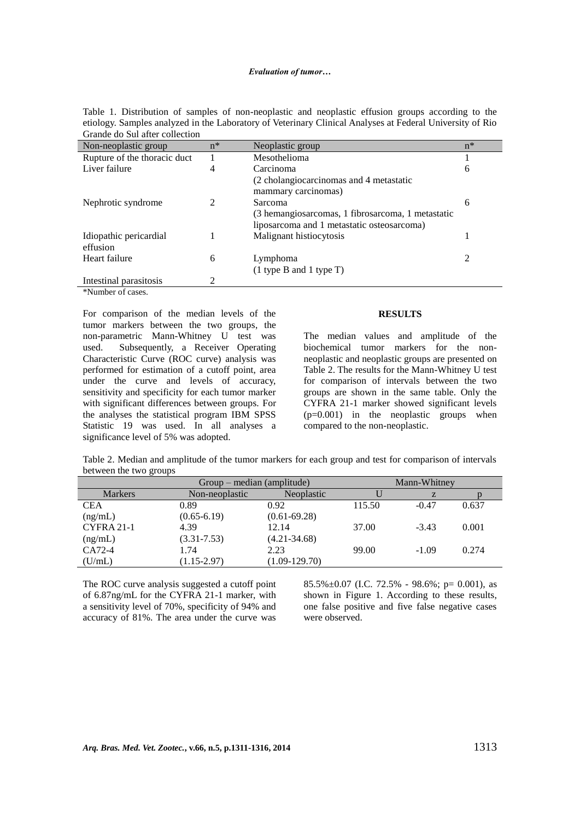| Non-neoplastic group         | $n^*$ | Neoplastic group                                  | $n^*$ |
|------------------------------|-------|---------------------------------------------------|-------|
| Rupture of the thoracic duct |       | Mesothelioma                                      |       |
| Liver failure                | 4     | Carcinoma                                         | 6     |
|                              |       | (2 cholangiocarcinomas and 4 metastatic           |       |
|                              |       | mammary carcinomas)                               |       |
| Nephrotic syndrome           |       | <b>Sarcoma</b>                                    | 6     |
|                              |       | (3 hemangiosarcomas, 1 fibrosarcoma, 1 metastatic |       |
|                              |       | liposarcoma and 1 metastatic osteosarcoma)        |       |
| Idiopathic pericardial       |       | Malignant histiocytosis                           |       |
| effusion                     |       |                                                   |       |
| Heart failure                | 6     | Lymphoma                                          | 2     |
|                              |       | $(1$ type B and 1 type T)                         |       |
| Intestinal parasitosis       | 2     |                                                   |       |

Table 1. Distribution of samples of non-neoplastic and neoplastic effusion groups according to the etiology. Samples analyzed in the Laboratory of Veterinary Clinical Analyses at Federal University of Rio Grande do Sul after collection

\*Number of cases.

For comparison of the median levels of the tumor markers between the two groups, the non-parametric Mann-Whitney U test was used. Subsequently, a Receiver Operating Characteristic Curve (ROC curve) analysis was performed for estimation of a cutoff point, area under the curve and levels of accuracy, sensitivity and specificity for each tumor marker with significant differences between groups. For the analyses the statistical program IBM SPSS Statistic 19 was used. In all analyses a significance level of 5% was adopted.

#### **RESULTS**

The median values and amplitude of the biochemical tumor markers for the nonneoplastic and neoplastic groups are presented on Table 2. The results for the Mann-Whitney U test for comparison of intervals between the two groups are shown in the same table. Only the CYFRA 21-1 marker showed significant levels (p=0.001) in the neoplastic groups when compared to the non-neoplastic.

| Table 2. Median and amplitude of the tumor markers for each group and test for comparison of intervals |  |  |  |
|--------------------------------------------------------------------------------------------------------|--|--|--|
| between the two groups                                                                                 |  |  |  |

|                | Group – median (amplitude) | Mann-Whitney      |        |         |       |
|----------------|----------------------------|-------------------|--------|---------|-------|
| <b>Markers</b> | Non-neoplastic             | <b>Neoplastic</b> |        | Z       |       |
| <b>CEA</b>     | 0.89                       | 0.92              | 115.50 | $-0.47$ | 0.637 |
| (ng/mL)        | $(0.65 - 6.19)$            | $(0.61 - 69.28)$  |        |         |       |
| CYFRA 21-1     | 4.39                       | 12.14             | 37.00  | $-3.43$ | 0.001 |
| (ng/mL)        | $(3.31 - 7.53)$            | $(4.21 - 34.68)$  |        |         |       |
| CA72-4         | 1.74                       | 2.23              | 99.00  | $-1.09$ | 0.274 |
| (U/mL)         | $(1.15 - 2.97)$            | $(1.09 - 129.70)$ |        |         |       |

The ROC curve analysis suggested a cutoff point of 6.87ng/mL for the CYFRA 21-1 marker, with a sensitivity level of 70%, specificity of 94% and accuracy of 81%. The area under the curve was  $85.5\% \pm 0.07$  (I.C. 72.5% - 98.6%; p= 0.001), as shown in Figure 1. According to these results, one false positive and five false negative cases were observed.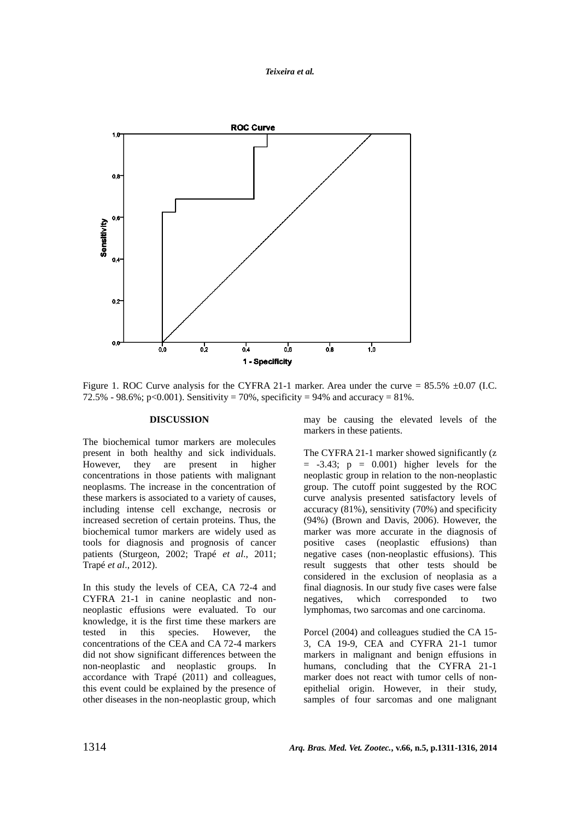



Figure 1. ROC Curve analysis for the CYFRA 21-1 marker. Area under the curve =  $85.5\% \pm 0.07$  (I.C. 72.5% - 98.6%; p<0.001). Sensitivity = 70%, specificity = 94% and accuracy = 81%.

#### **DISCUSSION**

The biochemical tumor markers are molecules present in both healthy and sick individuals. However, they are present in higher concentrations in those patients with malignant neoplasms. The increase in the concentration of these markers is associated to a variety of causes, including intense cell exchange, necrosis or increased secretion of certain proteins. Thus, the biochemical tumor markers are widely used as tools for diagnosis and prognosis of cancer patients (Sturgeon, 2002; Trapé *et al*., 2011; Trapé *et al*., 2012).

In this study the levels of CEA, CA 72-4 and CYFRA 21-1 in canine neoplastic and nonneoplastic effusions were evaluated. To our knowledge, it is the first time these markers are tested in this species. However, the concentrations of the CEA and CA 72-4 markers did not show significant differences between the non-neoplastic and neoplastic groups. In accordance with Trapé (2011) and colleagues, this event could be explained by the presence of other diseases in the non-neoplastic group, which may be causing the elevated levels of the markers in these patients.

The CYFRA 21-1 marker showed significantly (z  $= -3.43$ ;  $p = 0.001$ ) higher levels for the neoplastic group in relation to the non-neoplastic group. The cutoff point suggested by the ROC curve analysis presented satisfactory levels of accuracy (81%), sensitivity (70%) and specificity (94%) (Brown and Davis, 2006). However, the marker was more accurate in the diagnosis of positive cases (neoplastic effusions) than negative cases (non-neoplastic effusions). This result suggests that other tests should be considered in the exclusion of neoplasia as a final diagnosis. In our study five cases were false negatives, which corresponded to two lymphomas, two sarcomas and one carcinoma.

Porcel (2004) and colleagues studied the CA 15- 3, CA 19-9, CEA and CYFRA 21-1 tumor markers in malignant and benign effusions in humans, concluding that the CYFRA 21-1 marker does not react with tumor cells of nonepithelial origin. However, in their study, samples of four sarcomas and one malignant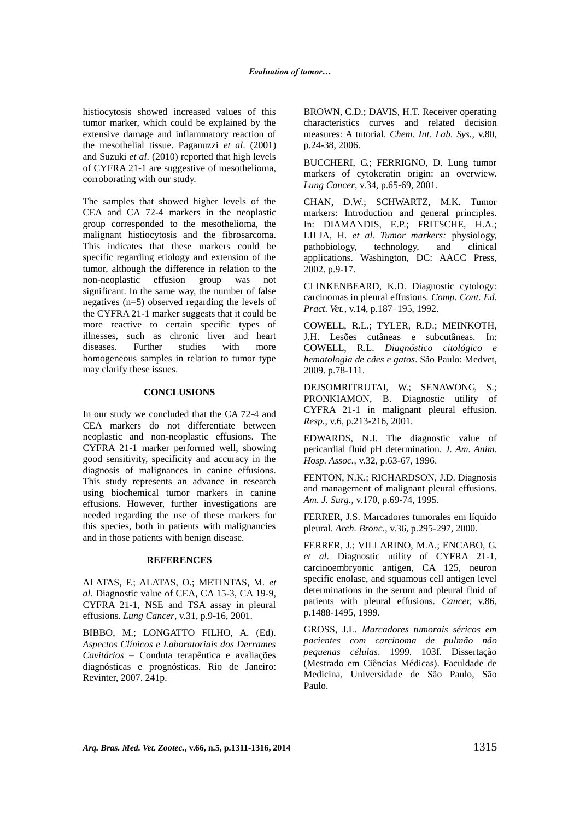histiocytosis showed increased values of this tumor marker, which could be explained by the extensive damage and inflammatory reaction of the mesothelial tissue. Paganuzzi *et al*. (2001) and Suzuki *et al*. (2010) reported that high levels of CYFRA 21-1 are suggestive of mesothelioma, corroborating with our study.

The samples that showed higher levels of the CEA and CA 72-4 markers in the neoplastic group corresponded to the mesothelioma, the malignant histiocytosis and the fibrosarcoma. This indicates that these markers could be specific regarding etiology and extension of the tumor, although the difference in relation to the non-neoplastic effusion group was not significant. In the same way, the number of false negatives (n=5) observed regarding the levels of the CYFRA 21-1 marker suggests that it could be more reactive to certain specific types of illnesses, such as chronic liver and heart diseases. Further studies with more homogeneous samples in relation to tumor type may clarify these issues.

### **CONCLUSIONS**

In our study we concluded that the CA 72-4 and CEA markers do not differentiate between neoplastic and non-neoplastic effusions. The CYFRA 21-1 marker performed well, showing good sensitivity, specificity and accuracy in the diagnosis of malignances in canine effusions. This study represents an advance in research using biochemical tumor markers in canine effusions. However, further investigations are needed regarding the use of these markers for this species, both in patients with malignancies and in those patients with benign disease.

#### **REFERENCES**

ALATAS, F.; ALATAS, O.; METINTAS, M. *et al*. Diagnostic value of CEA, CA 15-3, CA 19-9, CYFRA 21-1, NSE and TSA assay in pleural effusions. *Lung Cancer*, v.31, p.9-16, 2001.

BIBBO, M.; LONGATTO FILHO, A. (Ed). *Aspectos Clínicos e Laboratoriais dos Derrames Cavitários* – Conduta terapêutica e avaliações diagnósticas e prognósticas. Rio de Janeiro: Revinter, 2007. 241p.

BROWN, C.D.; DAVIS, H.T. Receiver operating characteristics curves and related decision measures: A tutorial. *Chem. Int. Lab. Sys.*, v.80, p.24-38, 2006.

BUCCHERI, G.; FERRIGNO, D. Lung tumor markers of cytokeratin origin: an overwiew. *Lung Cancer*, v.34, p.65-69, 2001.

CHAN, D.W.; SCHWARTZ, M.K. Tumor markers: Introduction and general principles. In: DIAMANDIS, E.P.; FRITSCHE, H.A.; LILJA, H. *et al. Tumor markers:* physiology, pathobiology, technology, and clinical applications. Washington, DC: AACC Press, 2002. p.9-17.

CLINKENBEARD, K.D. Diagnostic cytology: carcinomas in pleural effusions. *Comp. Cont. Ed. Pract. Vet.*, v.14, p.187–195, 1992.

COWELL, R.L.; TYLER, R.D.; MEINKOTH, J.H. Lesões cutâneas e subcutâneas. In: COWELL, R.L. *Diagnóstico citológico e hematologia de cães e gatos*. São Paulo: Medvet, 2009. p.78-111.

DEJSOMRITRUTAI, W.; SENAWONG, S.; PRONKIAMON, B. Diagnostic utility of CYFRA 21-1 in malignant pleural effusion. *Resp.*, v.6, p.213-216, 2001.

EDWARDS, N.J. The diagnostic value of pericardial fluid pH determination. *J. Am. Anim. Hosp. Assoc.*, v.32, p.63-67, 1996.

FENTON, N.K.; RICHARDSON, J.D. Diagnosis and management of malignant pleural effusions. *Am. J. Surg.*, v.170, p.69-74, 1995.

FERRER, J.S. Marcadores tumorales em líquido pleural. *Arch. Bronc.*, v.36, p.295-297, 2000.

FERRER, J.; VILLARINO, M.A.; ENCABO, G. *et al*. Diagnostic utility of CYFRA 21-1, carcinoembryonic antigen, CA 125, neuron specific enolase, and squamous cell antigen level determinations in the serum and pleural fluid of patients with pleural effusions. *Cancer,* v.86, p.1488-1495, 1999.

GROSS, J.L. *Marcadores tumorais séricos em pacientes com carcinoma de pulmão não pequenas células*. 1999. 103f. Dissertação (Mestrado em Ciências Médicas). Faculdade de Medicina, Universidade de São Paulo, São Paulo.